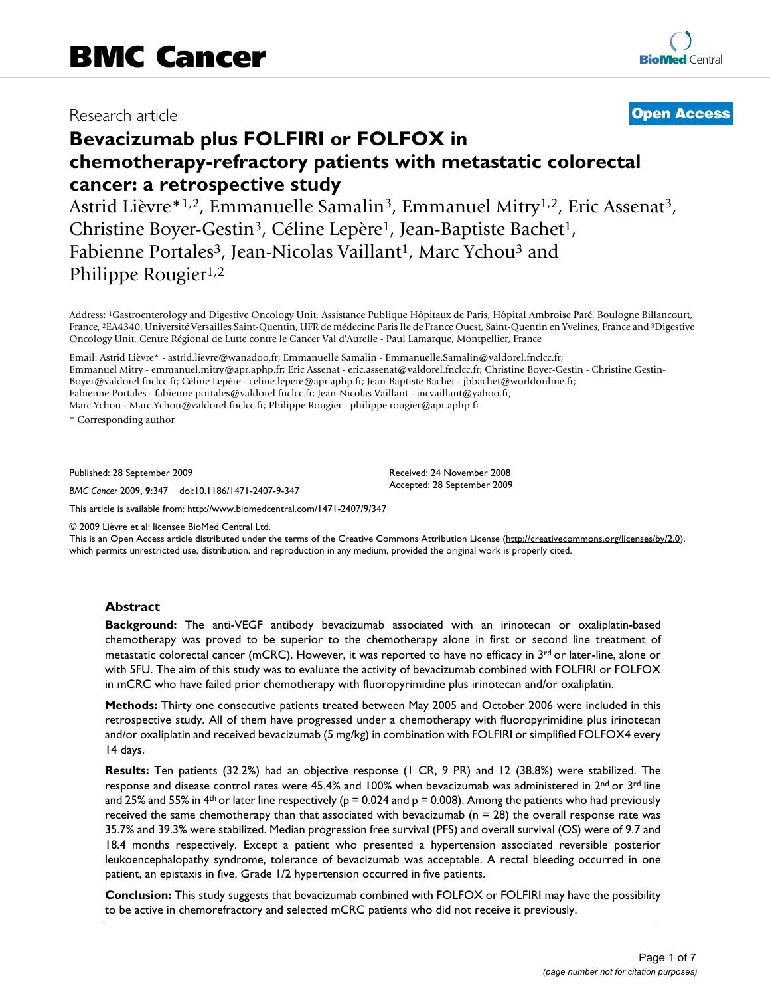## Research article

## **[Open Access](http://www.biomedcentral.com/info/about/charter/)**

# **Bevacizumab plus FOLFIRI or FOLFOX in chemotherapy-refractory patients with metastatic colorectal cancer: a retrospective study**

Astrid Lièvre<sup>\*1,2</sup>, Emmanuelle Samalin<sup>3</sup>, Emmanuel Mitry<sup>1,2</sup>, Eric Assenat<sup>3</sup>, Christine Boyer-Gestin<sup>3</sup>, Céline Lepère<sup>1</sup>, Jean-Baptiste Bachet<sup>1</sup>, Fabienne Portales<sup>3</sup>, Jean-Nicolas Vaillant<sup>1</sup>, Marc Ychou<sup>3</sup> and Philippe Rougier<sup>1,2</sup>

Address: 1Gastroenterology and Digestive Oncology Unit, Assistance Publique Hôpitaux de Paris, Hôpital Ambroise Paré, Boulogne Billancourt, France, 2EA4340, Université Versailles Saint-Quentin, UFR de médecine Paris Ile de France Ouest, Saint-Quentin en Yvelines, France and 3Digestive Oncology Unit, Centre Régional de Lutte contre le Cancer Val d'Aurelle - Paul Lamarque, Montpellier, France

Email: Astrid Lièvre\* - astrid.lievre@wanadoo.fr; Emmanuelle Samalin - Emmanuelle.Samalin@valdorel.fnclcc.fr; Emmanuel Mitry - emmanuel.mitry@apr.aphp.fr; Eric Assenat - eric.assenat@valdorel.fnclcc.fr; Christine Boyer-Gestin - Christine.Gestin-Boyer@valdorel.fnclcc.fr; Céline Lepère - celine.lepere@apr.aphp.fr; Jean-Baptiste Bachet - jbbachet@worldonline.fr; Fabienne Portales - fabienne.portales@valdorel.fnclcc.fr; Jean-Nicolas Vaillant - jncvaillant@yahoo.fr; Marc Ychou - Marc.Ychou@valdorel.fnclcc.fr; Philippe Rougier - philippe.rougier@apr.aphp.fr

\* Corresponding author

Published: 28 September 2009

*BMC Cancer* 2009, **9**:347 doi:10.1186/1471-2407-9-347

[This article is available from: http://www.biomedcentral.com/1471-2407/9/347](http://www.biomedcentral.com/1471-2407/9/347)

© 2009 Lièvre et al; licensee BioMed Central Ltd.

This is an Open Access article distributed under the terms of the Creative Commons Attribution License [\(http://creativecommons.org/licenses/by/2.0\)](http://creativecommons.org/licenses/by/2.0), which permits unrestricted use, distribution, and reproduction in any medium, provided the original work is properly cited.

Received: 24 November 2008 Accepted: 28 September 2009

#### **Abstract**

**Background:** The anti-VEGF antibody bevacizumab associated with an irinotecan or oxaliplatin-based chemotherapy was proved to be superior to the chemotherapy alone in first or second line treatment of metastatic colorectal cancer (mCRC). However, it was reported to have no efficacy in  $3^{rd}$  or later-line, alone or with 5FU. The aim of this study was to evaluate the activity of bevacizumab combined with FOLFIRI or FOLFOX in mCRC who have failed prior chemotherapy with fluoropyrimidine plus irinotecan and/or oxaliplatin.

**Methods:** Thirty one consecutive patients treated between May 2005 and October 2006 were included in this retrospective study. All of them have progressed under a chemotherapy with fluoropyrimidine plus irinotecan and/or oxaliplatin and received bevacizumab (5 mg/kg) in combination with FOLFIRI or simplified FOLFOX4 every 14 days.

**Results:** Ten patients (32.2%) had an objective response (1 CR, 9 PR) and 12 (38.8%) were stabilized. The response and disease control rates were 45.4% and 100% when bevacizumab was administered in 2<sup>nd</sup> or 3<sup>rd</sup> line and 25% and 55% in 4<sup>th</sup> or later line respectively ( $p = 0.024$  and  $p = 0.008$ ). Among the patients who had previously received the same chemotherapy than that associated with bevacizumab ( $n = 28$ ) the overall response rate was 35.7% and 39.3% were stabilized. Median progression free survival (PFS) and overall survival (OS) were of 9.7 and 18.4 months respectively. Except a patient who presented a hypertension associated reversible posterior leukoencephalopathy syndrome, tolerance of bevacizumab was acceptable. A rectal bleeding occurred in one patient, an epistaxis in five. Grade 1/2 hypertension occurred in five patients.

**Conclusion:** This study suggests that bevacizumab combined with FOLFOX or FOLFIRI may have the possibility to be active in chemorefractory and selected mCRC patients who did not receive it previously.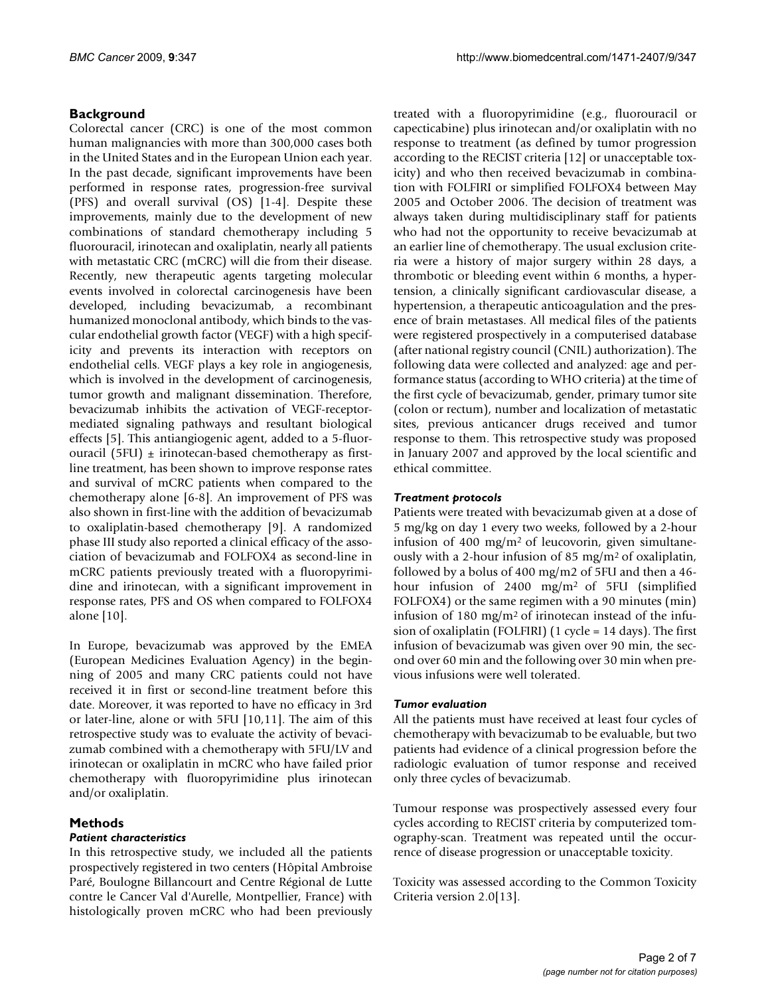## **Background**

Colorectal cancer (CRC) is one of the most common human malignancies with more than 300,000 cases both in the United States and in the European Union each year. In the past decade, significant improvements have been performed in response rates, progression-free survival (PFS) and overall survival (OS) [\[1-](#page-5-0)[4](#page-5-1)]. Despite these improvements, mainly due to the development of new combinations of standard chemotherapy including 5 fluorouracil, irinotecan and oxaliplatin, nearly all patients with metastatic CRC (mCRC) will die from their disease. Recently, new therapeutic agents targeting molecular events involved in colorectal carcinogenesis have been developed, including bevacizumab, a recombinant humanized monoclonal antibody, which binds to the vascular endothelial growth factor (VEGF) with a high specificity and prevents its interaction with receptors on endothelial cells. VEGF plays a key role in angiogenesis, which is involved in the development of carcinogenesis, tumor growth and malignant dissemination. Therefore, bevacizumab inhibits the activation of VEGF-receptormediated signaling pathways and resultant biological effects [[5](#page-5-2)]. This antiangiogenic agent, added to a 5-fluorouracil (5FU)  $\pm$  irinotecan-based chemotherapy as firstline treatment, has been shown to improve response rates and survival of mCRC patients when compared to the chemotherapy alone [[6-](#page-5-3)[8](#page-5-4)]. An improvement of PFS was also shown in first-line with the addition of bevacizumab to oxaliplatin-based chemotherapy [[9\]](#page-5-5). A randomized phase III study also reported a clinical efficacy of the association of bevacizumab and FOLFOX4 as second-line in mCRC patients previously treated with a fluoropyrimidine and irinotecan, with a significant improvement in response rates, PFS and OS when compared to FOLFOX4 alone [\[10](#page-5-6)].

In Europe, bevacizumab was approved by the EMEA (European Medicines Evaluation Agency) in the beginning of 2005 and many CRC patients could not have received it in first or second-line treatment before this date. Moreover, it was reported to have no efficacy in 3rd or later-line, alone or with 5FU [[10,](#page-5-6)[11\]](#page-5-7). The aim of this retrospective study was to evaluate the activity of bevacizumab combined with a chemotherapy with 5FU/LV and irinotecan or oxaliplatin in mCRC who have failed prior chemotherapy with fluoropyrimidine plus irinotecan and/or oxaliplatin.

## **Methods**

### *Patient characteristics*

In this retrospective study, we included all the patients prospectively registered in two centers (Hôpital Ambroise Paré, Boulogne Billancourt and Centre Régional de Lutte contre le Cancer Val d'Aurelle, Montpellier, France) with histologically proven mCRC who had been previously

treated with a fluoropyrimidine (e.g., fluorouracil or capecticabine) plus irinotecan and/or oxaliplatin with no response to treatment (as defined by tumor progression according to the RECIST criteria [\[12\]](#page-5-8) or unacceptable toxicity) and who then received bevacizumab in combination with FOLFIRI or simplified FOLFOX4 between May 2005 and October 2006. The decision of treatment was always taken during multidisciplinary staff for patients who had not the opportunity to receive bevacizumab at an earlier line of chemotherapy. The usual exclusion criteria were a history of major surgery within 28 days, a thrombotic or bleeding event within 6 months, a hypertension, a clinically significant cardiovascular disease, a hypertension, a therapeutic anticoagulation and the presence of brain metastases. All medical files of the patients were registered prospectively in a computerised database (after national registry council (CNIL) authorization). The following data were collected and analyzed: age and performance status (according to WHO criteria) at the time of the first cycle of bevacizumab, gender, primary tumor site (colon or rectum), number and localization of metastatic sites, previous anticancer drugs received and tumor response to them. This retrospective study was proposed in January 2007 and approved by the local scientific and ethical committee.

### *Treatment protocols*

Patients were treated with bevacizumab given at a dose of 5 mg/kg on day 1 every two weeks, followed by a 2-hour infusion of 400 mg/m<sup>2</sup> of leucovorin, given simultaneously with a 2-hour infusion of 85 mg/m2 of oxaliplatin, followed by a bolus of 400 mg/m2 of 5FU and then a 46 hour infusion of 2400 mg/m2 of 5FU (simplified FOLFOX4) or the same regimen with a 90 minutes (min) infusion of 180 mg/m<sup>2</sup> of irinotecan instead of the infusion of oxaliplatin (FOLFIRI) (1 cycle = 14 days). The first infusion of bevacizumab was given over 90 min, the second over 60 min and the following over 30 min when previous infusions were well tolerated.

#### *Tumor evaluation*

All the patients must have received at least four cycles of chemotherapy with bevacizumab to be evaluable, but two patients had evidence of a clinical progression before the radiologic evaluation of tumor response and received only three cycles of bevacizumab.

Tumour response was prospectively assessed every four cycles according to RECIST criteria by computerized tomography-scan. Treatment was repeated until the occurrence of disease progression or unacceptable toxicity.

Toxicity was assessed according to the Common Toxicity Criteria version 2.0[\[13\]](#page-6-0).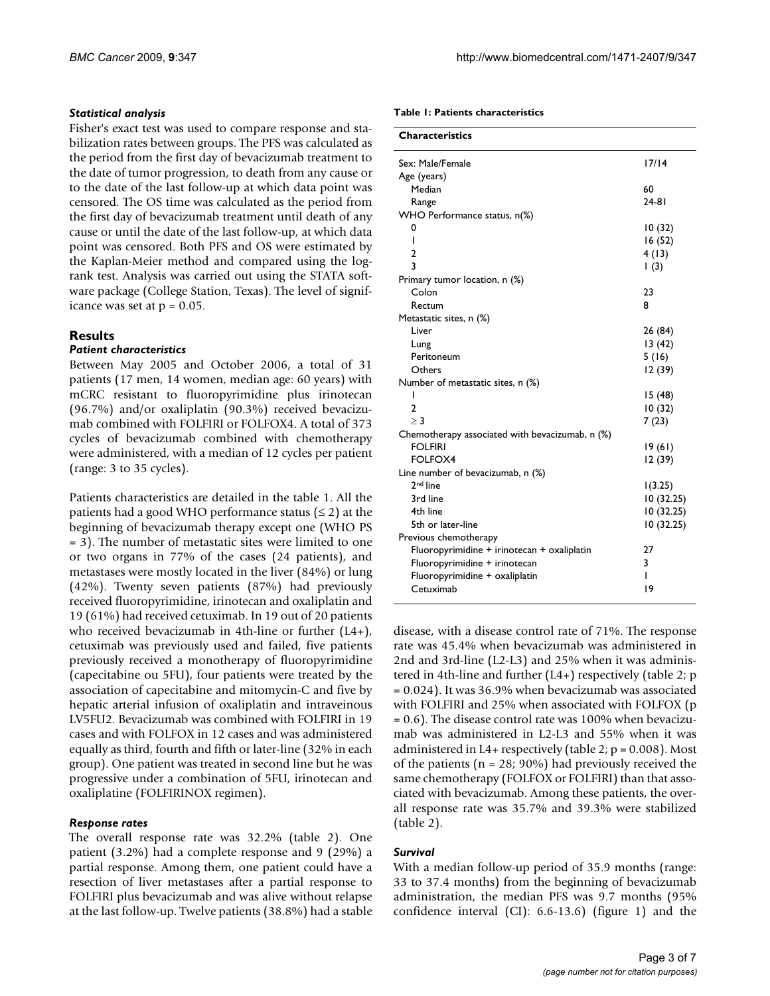#### *Statistical analysis*

Fisher's exact test was used to compare response and stabilization rates between groups. The PFS was calculated as the period from the first day of bevacizumab treatment to the date of tumor progression, to death from any cause or to the date of the last follow-up at which data point was censored. The OS time was calculated as the period from the first day of bevacizumab treatment until death of any cause or until the date of the last follow-up, at which data point was censored. Both PFS and OS were estimated by the Kaplan-Meier method and compared using the logrank test. Analysis was carried out using the STATA software package (College Station, Texas). The level of significance was set at  $p = 0.05$ .

## **Results**

#### *Patient characteristics*

Between May 2005 and October 2006, a total of 31 patients (17 men, 14 women, median age: 60 years) with mCRC resistant to fluoropyrimidine plus irinotecan (96.7%) and/or oxaliplatin (90.3%) received bevacizumab combined with FOLFIRI or FOLFOX4. A total of 373 cycles of bevacizumab combined with chemotherapy were administered, with a median of 12 cycles per patient (range: 3 to 35 cycles).

Patients characteristics are detailed in the table [1](#page-2-0). All the patients had a good WHO performance status  $( \leq 2)$  at the beginning of bevacizumab therapy except one (WHO PS = 3). The number of metastatic sites were limited to one or two organs in 77% of the cases (24 patients), and metastases were mostly located in the liver (84%) or lung (42%). Twenty seven patients (87%) had previously received fluoropyrimidine, irinotecan and oxaliplatin and 19 (61%) had received cetuximab. In 19 out of 20 patients who received bevacizumab in 4th-line or further (L4+), cetuximab was previously used and failed, five patients previously received a monotherapy of fluoropyrimidine (capecitabine ou 5FU), four patients were treated by the association of capecitabine and mitomycin-C and five by hepatic arterial infusion of oxaliplatin and intraveinous LV5FU2. Bevacizumab was combined with FOLFIRI in 19 cases and with FOLFOX in 12 cases and was administered equally as third, fourth and fifth or later-line (32% in each group). One patient was treated in second line but he was progressive under a combination of 5FU, irinotecan and oxaliplatine (FOLFIRINOX regimen).

#### *Response rates*

The overall response rate was 32.2% (table [2\)](#page-3-0). One patient (3.2%) had a complete response and 9 (29%) a partial response. Among them, one patient could have a resection of liver metastases after a partial response to FOLFIRI plus bevacizumab and was alive without relapse at the last follow-up. Twelve patients (38.8%) had a stable

#### <span id="page-2-0"></span>**Table 1: Patients characteristics**

| <b>Characteristics</b>                          |             |
|-------------------------------------------------|-------------|
| Sex: Male/Female                                | 17/14       |
|                                                 |             |
| Age (years)                                     |             |
| Median                                          | 60          |
| Range                                           | $24 - 81$   |
| WHO Performance status, n(%)                    |             |
| 0                                               | 10(32)      |
| ı                                               | 16(52)      |
| $\overline{2}$                                  | 4(13)       |
| 3                                               | $\vert$ (3) |
| Primary tumor location, n (%)                   |             |
| Colon                                           | 23          |
| Rectum                                          | 8           |
| Metastatic sites, n (%)                         |             |
| Liver                                           | 26 (84)     |
| Lung                                            | 13(42)      |
| Peritoneum                                      | 5(16)       |
| Others                                          | 12(39)      |
| Number of metastatic sites, n (%)               |             |
| ı                                               | 15(48)      |
| 2                                               | 10(32)      |
| $\geq$ 3                                        | 7(23)       |
| Chemotherapy associated with bevacizumab, n (%) |             |
| <b>FOLFIRI</b>                                  | 19(61)      |
| <b>FOLFOX4</b>                                  | 12(39)      |
| Line number of bevacizumab, n (%)               |             |
| 2 <sup>nd</sup> line                            | 1(3.25)     |
| 3rd line                                        | 10(32.25)   |
| 4th line                                        | 10(32.25)   |
| 5th or later-line                               | 10(32.25)   |
| Previous chemotherapy                           |             |
| Fluoropyrimidine + irinotecan + oxaliplatin     | 27          |
| Fluoropyrimidine + irinotecan                   | 3           |
|                                                 | ı           |
| Fluoropyrimidine + oxaliplatin                  |             |
| Cetuximab                                       | 19          |

disease, with a disease control rate of 71%. The response rate was 45.4% when bevacizumab was administered in 2nd and 3rd-line (L2-L3) and 25% when it was administered in 4th-line and further (L4+) respectively (table [2](#page-3-0); p = 0.024). It was 36.9% when bevacizumab was associated with FOLFIRI and 25% when associated with FOLFOX (p = 0.6). The disease control rate was 100% when bevacizumab was administered in L2-L3 and 55% when it was administered in L4+ respectively (table [2](#page-3-0);  $p = 0.008$ ). Most of the patients ( $n = 28$ ; 90%) had previously received the same chemotherapy (FOLFOX or FOLFIRI) than that associated with bevacizumab. Among these patients, the overall response rate was 35.7% and 39.3% were stabilized (table [2\)](#page-3-0).

#### *Survival*

With a median follow-up period of 35.9 months (range: 33 to 37.4 months) from the beginning of bevacizumab administration, the median PFS was 9.7 months (95% confidence interval (CI): 6.6-13.6) (figure [1](#page-3-1)) and the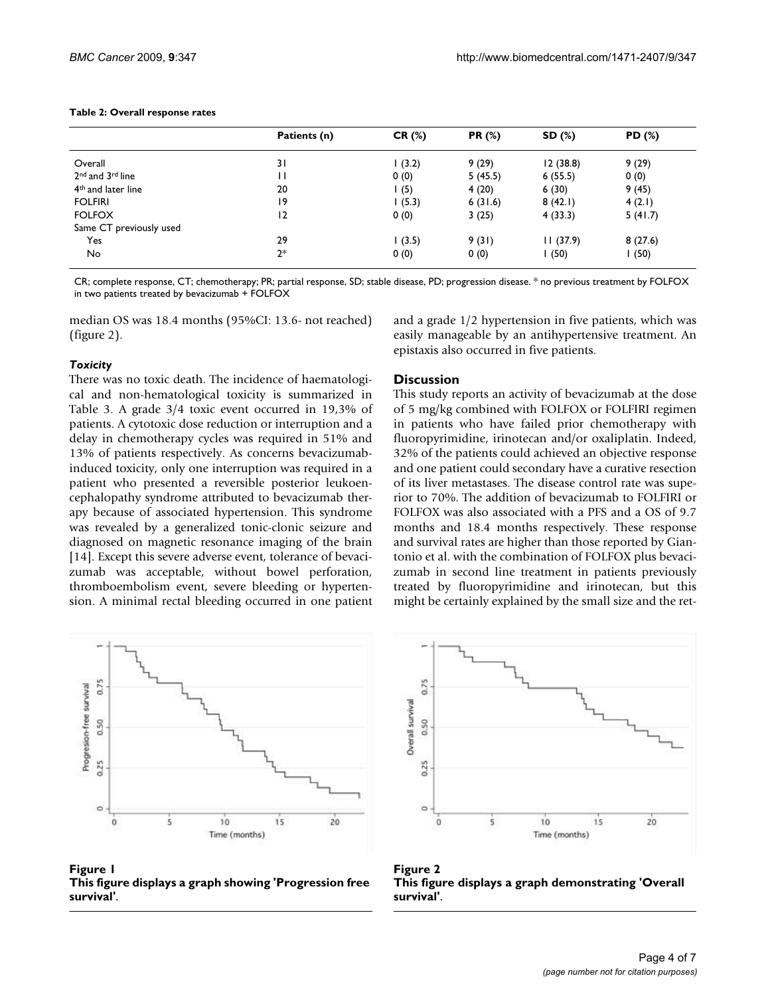<span id="page-3-0"></span>

|  |  |  |  | Table 2: Overall response rates |  |
|--|--|--|--|---------------------------------|--|
|--|--|--|--|---------------------------------|--|

|                                          | Patients (n)   | CR(%) | <b>PR (%)</b> | SD (%)   | PD (%)  |
|------------------------------------------|----------------|-------|---------------|----------|---------|
| Overall                                  | 31             | (3.2) | 9(29)         | 12(38.8) | 9(29)   |
| 2 <sup>nd</sup> and 3 <sup>rd</sup> line | П              | 0(0)  | 5(45.5)       | 6(55.5)  | 0(0)    |
| 4 <sup>th</sup> and later line           | 20             | l (5) | 4(20)         | 6(30)    | 9(45)   |
| <b>FOLFIRI</b>                           | 19             | (5.3) | 6(31.6)       | 8(42.1)  | 4(2.1)  |
| <b>FOLFOX</b>                            | $\overline{2}$ | 0(0)  | 3(25)         | 4(33.3)  | 5(41.7) |
| Same CT previously used                  |                |       |               |          |         |
| Yes                                      | 29             | (3.5) | 9(31)         | 11(37.9) | 8(27.6) |
| No                                       | $2*$           | 0(0)  | 0(0)          | (50)     | (50)    |

CR; complete response, CT; chemotherapy; PR; partial response, SD; stable disease, PD; progression disease. \* no previous treatment by FOLFOX in two patients treated by bevacizumab + FOLFOX

median OS was 18.4 months (95%CI: 13.6- not reached) (figure [2](#page-3-2)).

#### *Toxicity*

There was no toxic death. The incidence of haematological and non-hematological toxicity is summarized in Table [3.](#page-4-0) A grade 3/4 toxic event occurred in 19,3% of patients. A cytotoxic dose reduction or interruption and a delay in chemotherapy cycles was required in 51% and 13% of patients respectively. As concerns bevacizumabinduced toxicity, only one interruption was required in a patient who presented a reversible posterior leukoencephalopathy syndrome attributed to bevacizumab therapy because of associated hypertension. This syndrome was revealed by a generalized tonic-clonic seizure and diagnosed on magnetic resonance imaging of the brain [[14](#page-6-1)]. Except this severe adverse event, tolerance of bevacizumab was acceptable, without bowel perforation, thromboembolism event, severe bleeding or hypertension. A minimal rectal bleeding occurred in one patient

<span id="page-3-1"></span>

Figure 1 **This figure displays a graph showing 'Progression free survival'**.

and a grade 1/2 hypertension in five patients, which was easily manageable by an antihypertensive treatment. An epistaxis also occurred in five patients.

#### **Discussion**

This study reports an activity of bevacizumab at the dose of 5 mg/kg combined with FOLFOX or FOLFIRI regimen in patients who have failed prior chemotherapy with fluoropyrimidine, irinotecan and/or oxaliplatin. Indeed, 32% of the patients could achieved an objective response and one patient could secondary have a curative resection of its liver metastases. The disease control rate was superior to 70%. The addition of bevacizumab to FOLFIRI or FOLFOX was also associated with a PFS and a OS of 9.7 months and 18.4 months respectively. These response and survival rates are higher than those reported by Giantonio et al. with the combination of FOLFOX plus bevacizumab in second line treatment in patients previously treated by fluoropyrimidine and irinotecan, but this might be certainly explained by the small size and the ret-

<span id="page-3-2"></span>

Figure 2 **This figure displays a graph demonstrating 'Overall survival'**.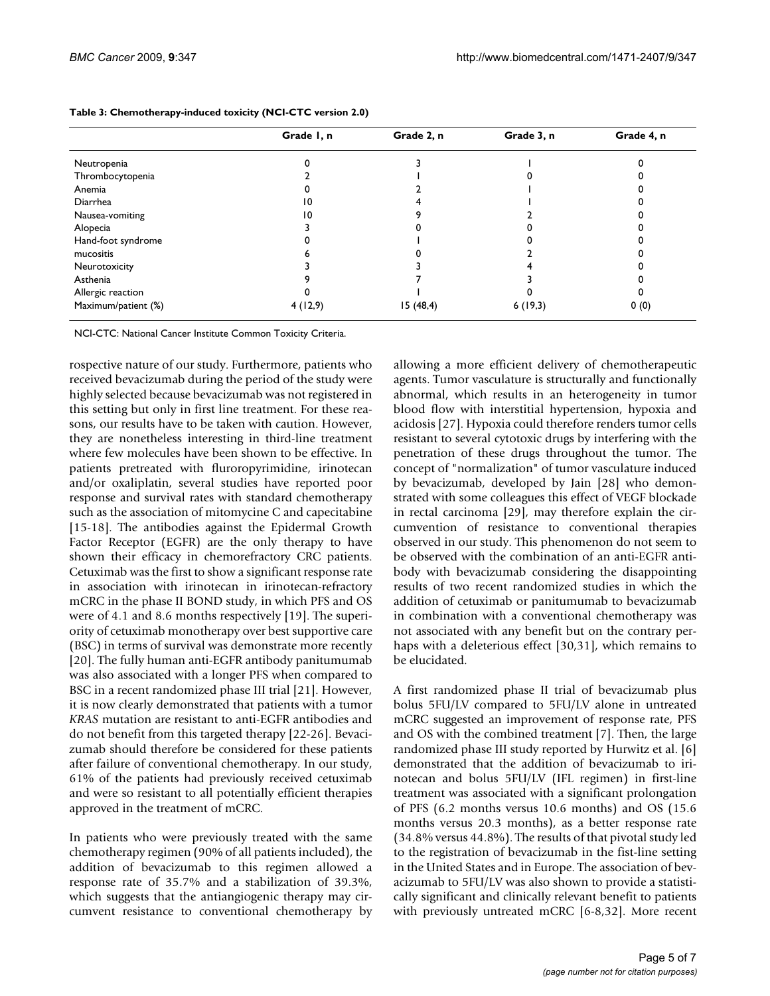|                     | Grade I, n | Grade 2, n | Grade 3, n | Grade 4, n |
|---------------------|------------|------------|------------|------------|
| Neutropenia         |            |            |            |            |
| Thrombocytopenia    |            |            |            |            |
| Anemia              |            |            |            |            |
| Diarrhea            | 10         |            |            |            |
| Nausea-vomiting     | 10         |            |            |            |
| Alopecia            |            |            |            |            |
| Hand-foot syndrome  |            |            |            |            |
| mucositis           |            |            |            |            |
| Neurotoxicity       |            |            |            |            |
| Asthenia            |            |            |            |            |
| Allergic reaction   |            |            |            |            |
| Maximum/patient (%) | 4(12,9)    | 15(48,4)   | 6(19,3)    | 0(0)       |

<span id="page-4-0"></span>**Table 3: Chemotherapy-induced toxicity (NCI-CTC version 2.0)**

NCI-CTC: National Cancer Institute Common Toxicity Criteria.

rospective nature of our study. Furthermore, patients who received bevacizumab during the period of the study were highly selected because bevacizumab was not registered in this setting but only in first line treatment. For these reasons, our results have to be taken with caution. However, they are nonetheless interesting in third-line treatment where few molecules have been shown to be effective. In patients pretreated with fluroropyrimidine, irinotecan and/or oxaliplatin, several studies have reported poor response and survival rates with standard chemotherapy such as the association of mitomycine C and capecitabine [[15](#page-6-2)[-18](#page-6-3)]. The antibodies against the Epidermal Growth Factor Receptor (EGFR) are the only therapy to have shown their efficacy in chemorefractory CRC patients. Cetuximab was the first to show a significant response rate in association with irinotecan in irinotecan-refractory mCRC in the phase II BOND study, in which PFS and OS were of 4.1 and 8.6 months respectively [[19](#page-6-4)]. The superiority of cetuximab monotherapy over best supportive care (BSC) in terms of survival was demonstrate more recently [[20](#page-6-5)]. The fully human anti-EGFR antibody panitumumab was also associated with a longer PFS when compared to BSC in a recent randomized phase III trial [[21](#page-6-6)]. However, it is now clearly demonstrated that patients with a tumor *KRAS* mutation are resistant to anti-EGFR antibodies and do not benefit from this targeted therapy [\[22-](#page-6-7)[26\]](#page-6-8). Bevacizumab should therefore be considered for these patients after failure of conventional chemotherapy. In our study, 61% of the patients had previously received cetuximab and were so resistant to all potentially efficient therapies approved in the treatment of mCRC.

In patients who were previously treated with the same chemotherapy regimen (90% of all patients included), the addition of bevacizumab to this regimen allowed a response rate of 35.7% and a stabilization of 39.3%, which suggests that the antiangiogenic therapy may circumvent resistance to conventional chemotherapy by allowing a more efficient delivery of chemotherapeutic agents. Tumor vasculature is structurally and functionally abnormal, which results in an heterogeneity in tumor blood flow with interstitial hypertension, hypoxia and acidosis [[27\]](#page-6-9). Hypoxia could therefore renders tumor cells resistant to several cytotoxic drugs by interfering with the penetration of these drugs throughout the tumor. The concept of "normalization" of tumor vasculature induced by bevacizumab, developed by Jain [[28](#page-6-10)] who demonstrated with some colleagues this effect of VEGF blockade in rectal carcinoma [[29\]](#page-6-11), may therefore explain the circumvention of resistance to conventional therapies observed in our study. This phenomenon do not seem to be observed with the combination of an anti-EGFR antibody with bevacizumab considering the disappointing results of two recent randomized studies in which the addition of cetuximab or panitumumab to bevacizumab in combination with a conventional chemotherapy was not associated with any benefit but on the contrary perhaps with a deleterious effect [[30](#page-6-12),[31\]](#page-6-13), which remains to be elucidated.

A first randomized phase II trial of bevacizumab plus bolus 5FU/LV compared to 5FU/LV alone in untreated mCRC suggested an improvement of response rate, PFS and OS with the combined treatment [\[7\]](#page-5-9). Then, the large randomized phase III study reported by Hurwitz et al. [\[6\]](#page-5-3) demonstrated that the addition of bevacizumab to irinotecan and bolus 5FU/LV (IFL regimen) in first-line treatment was associated with a significant prolongation of PFS (6.2 months versus 10.6 months) and OS (15.6 months versus 20.3 months), as a better response rate (34.8% versus 44.8%). The results of that pivotal study led to the registration of bevacizumab in the fist-line setting in the United States and in Europe. The association of bevacizumab to 5FU/LV was also shown to provide a statistically significant and clinically relevant benefit to patients with previously untreated mCRC [[6-](#page-5-3)[8](#page-5-4),[32\]](#page-6-14). More recent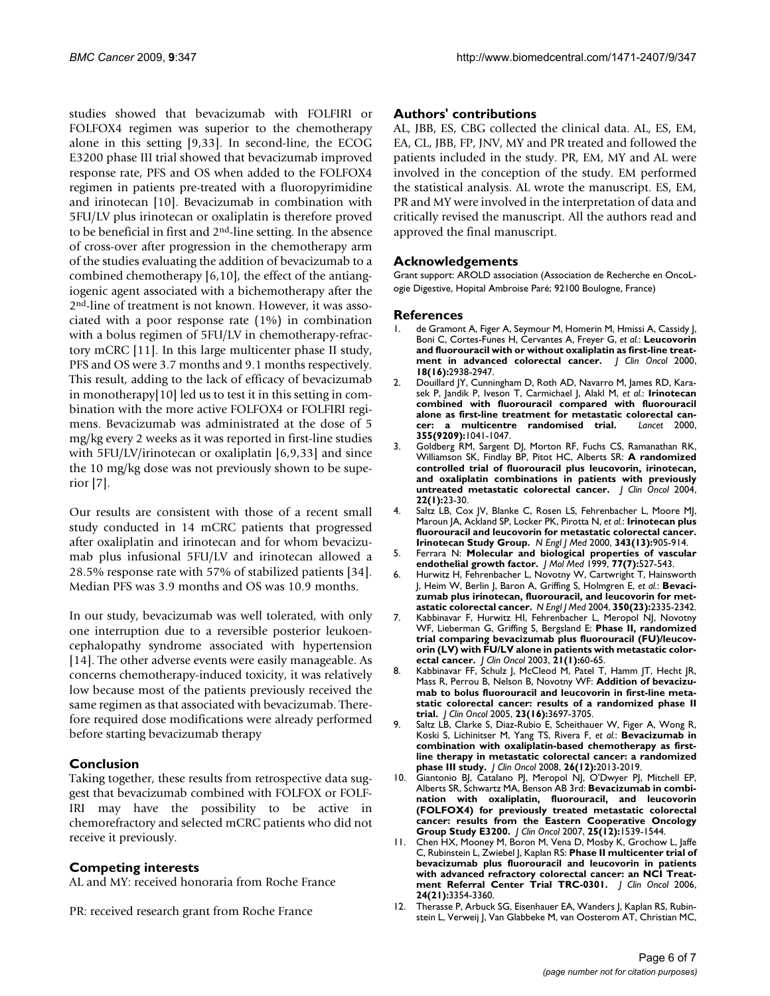studies showed that bevacizumab with FOLFIRI or FOLFOX4 regimen was superior to the chemotherapy alone in this setting [\[9](#page-5-5)[,33](#page-6-15)]. In second-line, the ECOG E3200 phase III trial showed that bevacizumab improved response rate, PFS and OS when added to the FOLFOX4 regimen in patients pre-treated with a fluoropyrimidine and irinotecan [\[10](#page-5-6)]. Bevacizumab in combination with 5FU/LV plus irinotecan or oxaliplatin is therefore proved to be beneficial in first and 2nd-line setting. In the absence of cross-over after progression in the chemotherapy arm of the studies evaluating the addition of bevacizumab to a combined chemotherapy [[6](#page-5-3),[10](#page-5-6)], the effect of the antiangiogenic agent associated with a bichemotherapy after the 2nd-line of treatment is not known. However, it was associated with a poor response rate (1%) in combination with a bolus regimen of 5FU/LV in chemotherapy-refractory mCRC [\[11](#page-5-7)]. In this large multicenter phase II study, PFS and OS were 3.7 months and 9.1 months respectively. This result, adding to the lack of efficacy of bevacizumab in monotherapy[[10\]](#page-5-6) led us to test it in this setting in combination with the more active FOLFOX4 or FOLFIRI regimens. Bevacizumab was administrated at the dose of 5 mg/kg every 2 weeks as it was reported in first-line studies with 5FU/LV/irinotecan or oxaliplatin [[6](#page-5-3),[9](#page-5-5),[33](#page-6-15)] and since the 10 mg/kg dose was not previously shown to be superior [\[7\]](#page-5-9).

Our results are consistent with those of a recent small study conducted in 14 mCRC patients that progressed after oxaliplatin and irinotecan and for whom bevacizumab plus infusional 5FU/LV and irinotecan allowed a 28.5% response rate with 57% of stabilized patients [\[34](#page-6-16)]. Median PFS was 3.9 months and OS was 10.9 months.

In our study, bevacizumab was well tolerated, with only one interruption due to a reversible posterior leukoencephalopathy syndrome associated with hypertension [[14](#page-6-1)]. The other adverse events were easily manageable. As concerns chemotherapy-induced toxicity, it was relatively low because most of the patients previously received the same regimen as that associated with bevacizumab. Therefore required dose modifications were already performed before starting bevacizumab therapy

#### **Conclusion**

Taking together, these results from retrospective data suggest that bevacizumab combined with FOLFOX or FOLF-IRI may have the possibility to be active in chemorefractory and selected mCRC patients who did not receive it previously.

#### **Competing interests**

AL and MY: received honoraria from Roche France

PR: received research grant from Roche France

#### **Authors' contributions**

AL, JBB, ES, CBG collected the clinical data. AL, ES, EM, EA, CL, JBB, FP, JNV, MY and PR treated and followed the patients included in the study. PR, EM, MY and AL were involved in the conception of the study. EM performed the statistical analysis. AL wrote the manuscript. ES, EM, PR and MY were involved in the interpretation of data and critically revised the manuscript. All the authors read and approved the final manuscript.

#### **Acknowledgements**

Grant support: AROLD association (Association de Recherche en OncoLogie Digestive, Hopital Ambroise Paré; 92100 Boulogne, France)

#### **References**

- <span id="page-5-0"></span>1. de Gramont A, Figer A, Seymour M, Homerin M, Hmissi A, Cassidy J, Boni C, Cortes-Funes H, Cervantes A, Freyer G, *et al.*: **[Leucovorin](http://www.ncbi.nlm.nih.gov/entrez/query.fcgi?cmd=Retrieve&db=PubMed&dopt=Abstract&list_uids=10944126) [and fluorouracil with or without oxaliplatin as first-line treat](http://www.ncbi.nlm.nih.gov/entrez/query.fcgi?cmd=Retrieve&db=PubMed&dopt=Abstract&list_uids=10944126)[ment in advanced colorectal cancer.](http://www.ncbi.nlm.nih.gov/entrez/query.fcgi?cmd=Retrieve&db=PubMed&dopt=Abstract&list_uids=10944126)** *J Clin Oncol* 2000, **18(16):**2938-2947.
- 2. Douillard JY, Cunningham D, Roth AD, Navarro M, James RD, Karasek P, Jandik P, Iveson T, Carmichael J, Alakl M, *et al.*: **[Irinotecan](http://www.ncbi.nlm.nih.gov/entrez/query.fcgi?cmd=Retrieve&db=PubMed&dopt=Abstract&list_uids=10744089) [combined with fluorouracil compared with fluorouracil](http://www.ncbi.nlm.nih.gov/entrez/query.fcgi?cmd=Retrieve&db=PubMed&dopt=Abstract&list_uids=10744089) alone as first-line treatment for metastatic colorectal can[cer: a multicentre randomised trial.](http://www.ncbi.nlm.nih.gov/entrez/query.fcgi?cmd=Retrieve&db=PubMed&dopt=Abstract&list_uids=10744089)** *Lancet* 2000, **355(9209):**1041-1047.
- Goldberg RM, Sargent DJ, Morton RF, Fuchs CS, Ramanathan RK, Williamson SK, Findlay BP, Pitot HC, Alberts SR: **[A randomized](http://www.ncbi.nlm.nih.gov/entrez/query.fcgi?cmd=Retrieve&db=PubMed&dopt=Abstract&list_uids=14665611) [controlled trial of fluorouracil plus leucovorin, irinotecan,](http://www.ncbi.nlm.nih.gov/entrez/query.fcgi?cmd=Retrieve&db=PubMed&dopt=Abstract&list_uids=14665611) and oxaliplatin combinations in patients with previously [untreated metastatic colorectal cancer.](http://www.ncbi.nlm.nih.gov/entrez/query.fcgi?cmd=Retrieve&db=PubMed&dopt=Abstract&list_uids=14665611)** *J Clin Oncol* 2004, **22(1):**23-30.
- <span id="page-5-1"></span>4. Saltz LB, Cox JV, Blanke C, Rosen LS, Fehrenbacher L, Moore MJ, Maroun JA, Ackland SP, Locker PK, Pirotta N, *et al.*: **[Irinotecan plus](http://www.ncbi.nlm.nih.gov/entrez/query.fcgi?cmd=Retrieve&db=PubMed&dopt=Abstract&list_uids=11006366) [fluorouracil and leucovorin for metastatic colorectal cancer.](http://www.ncbi.nlm.nih.gov/entrez/query.fcgi?cmd=Retrieve&db=PubMed&dopt=Abstract&list_uids=11006366) [Irinotecan Study Group.](http://www.ncbi.nlm.nih.gov/entrez/query.fcgi?cmd=Retrieve&db=PubMed&dopt=Abstract&list_uids=11006366)** *N Engl J Med* 2000, **343(13):**905-914.
- <span id="page-5-2"></span>5. Ferrara N: **[Molecular and biological properties of vascular](http://www.ncbi.nlm.nih.gov/entrez/query.fcgi?cmd=Retrieve&db=PubMed&dopt=Abstract&list_uids=10494799) [endothelial growth factor.](http://www.ncbi.nlm.nih.gov/entrez/query.fcgi?cmd=Retrieve&db=PubMed&dopt=Abstract&list_uids=10494799)** *J Mol Med* 1999, **77(7):**527-543.
- <span id="page-5-3"></span>6. Hurwitz H, Fehrenbacher L, Novotny W, Cartwright T, Hainsworth J, Heim W, Berlin J, Baron A, Griffing S, Holmgren E, *et al.*: **[Bevaci](http://www.ncbi.nlm.nih.gov/entrez/query.fcgi?cmd=Retrieve&db=PubMed&dopt=Abstract&list_uids=15175435)[zumab plus irinotecan, fluorouracil, and leucovorin for met](http://www.ncbi.nlm.nih.gov/entrez/query.fcgi?cmd=Retrieve&db=PubMed&dopt=Abstract&list_uids=15175435)[astatic colorectal cancer.](http://www.ncbi.nlm.nih.gov/entrez/query.fcgi?cmd=Retrieve&db=PubMed&dopt=Abstract&list_uids=15175435)** *N Engl J Med* 2004, **350(23):**2335-2342.
- <span id="page-5-9"></span>7. Kabbinavar F, Hurwitz HI, Fehrenbacher L, Meropol NJ, Novotny WF, Lieberman G, Griffing S, Bergsland E: **[Phase II, randomized](http://www.ncbi.nlm.nih.gov/entrez/query.fcgi?cmd=Retrieve&db=PubMed&dopt=Abstract&list_uids=12506171) [trial comparing bevacizumab plus fluorouracil \(FU\)/leucov](http://www.ncbi.nlm.nih.gov/entrez/query.fcgi?cmd=Retrieve&db=PubMed&dopt=Abstract&list_uids=12506171)orin (LV) with FU/LV alone in patients with metastatic color[ectal cancer.](http://www.ncbi.nlm.nih.gov/entrez/query.fcgi?cmd=Retrieve&db=PubMed&dopt=Abstract&list_uids=12506171)** *J Clin Oncol* 2003, **21(1):**60-65.
- <span id="page-5-4"></span>8. Kabbinavar FF, Schulz J, McCleod M, Patel T, Hamm JT, Hecht JR, Mass R, Perrou B, Nelson B, Novotny WF: **[Addition of bevacizu](http://www.ncbi.nlm.nih.gov/entrez/query.fcgi?cmd=Retrieve&db=PubMed&dopt=Abstract&list_uids=15738537)[mab to bolus fluorouracil and leucovorin in first-line meta](http://www.ncbi.nlm.nih.gov/entrez/query.fcgi?cmd=Retrieve&db=PubMed&dopt=Abstract&list_uids=15738537)static colorectal cancer: results of a randomized phase II [trial.](http://www.ncbi.nlm.nih.gov/entrez/query.fcgi?cmd=Retrieve&db=PubMed&dopt=Abstract&list_uids=15738537)** *J Clin Oncol* 2005, **23(16):**3697-3705.
- <span id="page-5-5"></span>9. Saltz LB, Clarke S, Diaz-Rubio E, Scheithauer W, Figer A, Wong R, Koski S, Lichinitser M, Yang TS, Rivera F, *et al.*: **[Bevacizumab in](http://www.ncbi.nlm.nih.gov/entrez/query.fcgi?cmd=Retrieve&db=PubMed&dopt=Abstract&list_uids=18421054) [combination with oxaliplatin-based chemotherapy as first](http://www.ncbi.nlm.nih.gov/entrez/query.fcgi?cmd=Retrieve&db=PubMed&dopt=Abstract&list_uids=18421054)line therapy in metastatic colorectal cancer: a randomized [phase III study.](http://www.ncbi.nlm.nih.gov/entrez/query.fcgi?cmd=Retrieve&db=PubMed&dopt=Abstract&list_uids=18421054)** *J Clin Oncol* 2008, **26(12):**2013-2019.
- <span id="page-5-6"></span>10. Giantonio BJ, Catalano PJ, Meropol NJ, O'Dwyer PJ, Mitchell EP, Alberts SR, Schwartz MA, Benson AB 3rd: **[Bevacizumab in combi](http://www.ncbi.nlm.nih.gov/entrez/query.fcgi?cmd=Retrieve&db=PubMed&dopt=Abstract&list_uids=17442997)[nation with oxaliplatin, fluorouracil, and leucovorin](http://www.ncbi.nlm.nih.gov/entrez/query.fcgi?cmd=Retrieve&db=PubMed&dopt=Abstract&list_uids=17442997) (FOLFOX4) for previously treated metastatic colorectal cancer: results from the Eastern Cooperative Oncology [Group Study E3200.](http://www.ncbi.nlm.nih.gov/entrez/query.fcgi?cmd=Retrieve&db=PubMed&dopt=Abstract&list_uids=17442997)** *J Clin Oncol* 2007, **25(12):**1539-1544.
- <span id="page-5-7"></span>11. Chen HX, Mooney M, Boron M, Vena D, Mosby K, Grochow L, Jaffe C, Rubinstein L, Zwiebel J, Kaplan RS: **[Phase II multicenter trial of](http://www.ncbi.nlm.nih.gov/entrez/query.fcgi?cmd=Retrieve&db=PubMed&dopt=Abstract&list_uids=16849749) [bevacizumab plus fluorouracil and leucovorin in patients](http://www.ncbi.nlm.nih.gov/entrez/query.fcgi?cmd=Retrieve&db=PubMed&dopt=Abstract&list_uids=16849749) with advanced refractory colorectal cancer: an NCI Treat[ment Referral Center Trial TRC-0301.](http://www.ncbi.nlm.nih.gov/entrez/query.fcgi?cmd=Retrieve&db=PubMed&dopt=Abstract&list_uids=16849749)** *J Clin Oncol* 2006, **24(21):**3354-3360.
- <span id="page-5-8"></span>12. Therasse P, Arbuck SG, Eisenhauer EA, Wanders J, Kaplan RS, Rubinstein L, Verweij J, Van Glabbeke M, van Oosterom AT, Christian MC,